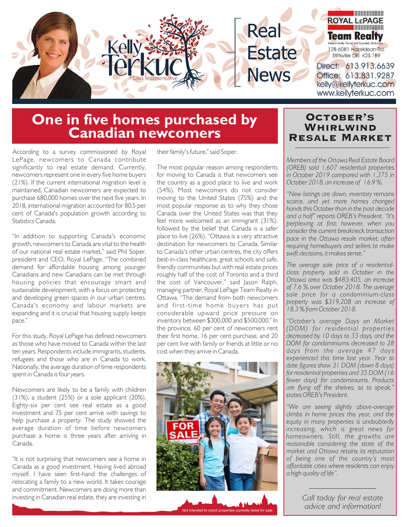

# **One in five homes purchased by Canadian newcomers**

According to a survey commissioned by Royal LePage, newcomers to Canada contribute significantly to real estate demand. Currently, newcomers represent one in every five home buyers (21%). If the current international migration level is maintained, Canadian newcomers are expected to purchase 680,000 homes over the next five years. In 2018, international migration accounted for 80.5 per cent of Canada's population growth according to Statistics Canada.

"In addition to supporting Canada's economic growth, newcomers to Canada are vital to the health of our national real estate market," said Phil Soper, president and CEO, Royal LePage. "The combined demand for affordable housing among younger Canadians and new Canadians can be met through housing policies that encourage smart and sustainable development, with a focus on protecting and developing green spaces in our urban centres. Canada's economy and labour markets are expanding and it is crucial that housing supply keeps pace."

For this study, Royal LePage has defined newcomers as those who have moved to Canada within the last ten years. Respondents include immigrants, students, refugees and those who are in Canada to work. Nationally, the average duration of time respondents spent in Canada is four years.

Newcomers are likely to be a family with children (31%), a student (25%) or a sole applicant (20%). Eighty-six per cent see real estate as a good investment and 75 per cent arrive with savings to help purchase a property. The study showed the average duration of time before newcomers purchase a home is three years after arriving in Canada.

"It is not surprising that newcomers see a home in Canada as a good investment. Having lived abroad myself, I have seen first-hand the challenges of relocating a family to a new world. It takes courage and commitment. Newcomers are doing more than investing in Canadian real estate, they are investing in

their family's future," said Soper.

The most popular reason among respondents for moving to Canada is that newcomers see the country as a good place to live and work (54%). Most newcomers do not consider moving to the United States (75%) and the most popular response as to why they chose Canada over the United States was that they feel more welcomed as an immigrant (31%), followed by the belief that Canada is a safer place to live (26%). "Ottawa is a very attractive destination for newcomers to Canada. Similar to Canada's other urban centres, the city offers best-in-class healthcare, great schools and safe, friendly communities but with real estate prices roughly half of the cost of Toronto and a third the cost of Vancouver," said Jason Ralph, managing partner, Royal LePage Team Realty in Ottawa. "The demand from both newcomers and first-time home buyers has put considerable upward price pressure on inventory between \$300,000 and \$500,000." In the province, 60 per cent of newcomers rent their first home, 16 per cent purchase, and 20 per cent live with family or friends at little or no cost when they arrive in Canada.



Not intended to solicit properties currently listed for sale. Not intended to solicit properties currently listed for sale.

#### October's **WHIRLWIND** Resale Market

*Members of the Ottawa Real Estate Board (OREB) sold 1,607 residential properties in October 2019 compared with 1,375 in October 2018, an increase of 16.9 %.* 

*"New listings are down, inventory remains scarce, and yet more homes changed hands this October than in the past decade and a half" reports OREB's President. "It's perplexing at first; however, when you consider the current breakneck transaction pace in the Ottawa resale market, often requiring homebuyers and sellers to make swift decisions, it makes sense."* 

*The average sale price of a residentialclass property sold in October in the Ottawa area was \$483,405, an increase of 7.6 % over October 2018. The average sale price for a condominium-class property was \$319,208 an increase of 18.3 % from October 2018.* 

*"October's average Days on Market (DOM) for residential properties decreased by 10 days to 33 days, and the DOM for condominiums decreased to 28 days from the average 47 days experienced this time last year. Year to date figures show 31 DOM (down 8 days) for residential properties and 35 DOM (16 fewer days) for condominiums. Products are flying off the shelves, so to speak," states OREB's President.*

*"We are seeing slightly above-average climbs in home prices this year, and the equity in many properties is undoubtedly increasing, which is great news for homeowners. Still, the growths are reasonable considering the state of the market and Ottawa retains its reputation of being one of the country's most affordable cities where residents can enjoy a high quality of life".*

> *Call today for real estate advice and information!*